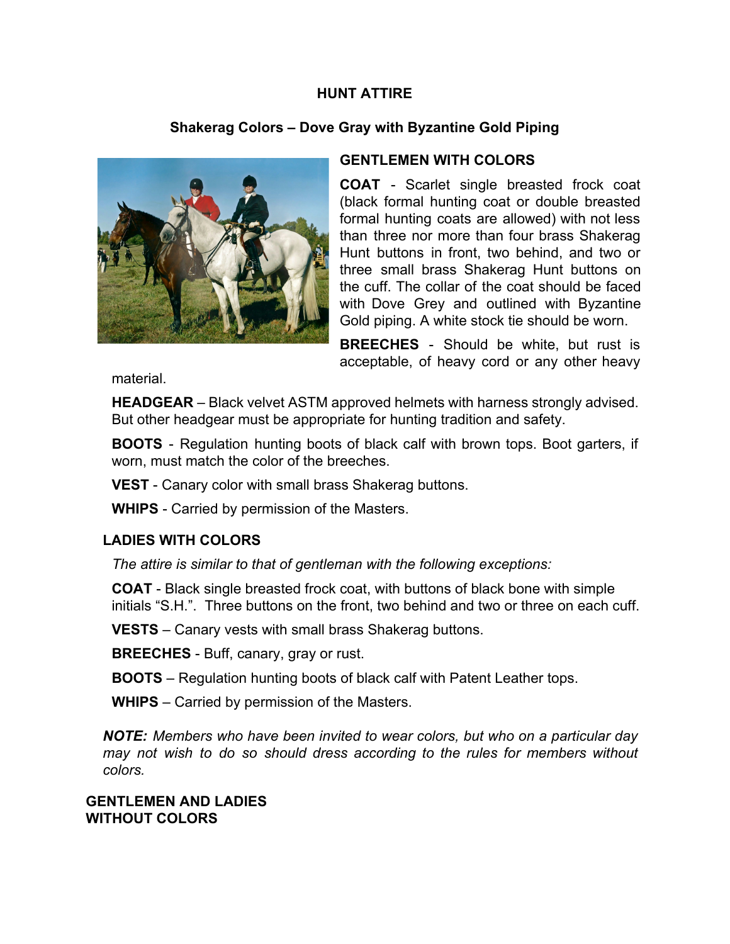### **HUNT ATTIRE**

## **Shakerag Colors – Dove Gray with Byzantine Gold Piping**



### **GENTLEMEN WITH COLORS**

**COAT** Scarlet single breasted frock coat (black formal hunting coat or double breasted formal hunting coats are allowed) with not less than three nor more than four brass Shakerag Hunt buttons in front, two behind, and two or three small brass Shakerag Hunt buttons on the cuff. The collar of the coat should be faced with Dove Grey and outlined with Byzantine Gold piping. A white stock tie should be worn.

**BREECHES** - Should be white, but rust is acceptable, of heavy cord or any other heavy

material.

**HEADGEAR** – Black velvet ASTM approved helmets with harness strongly advised. But other headgear must be appropriate for hunting tradition and safety.

**BOOTS** - Regulation hunting boots of black calf with brown tops. Boot garters, if worn, must match the color of the breeches.

**VEST** - Canary color with small brass Shakerag buttons.

**WHIPS** - Carried by permission of the Masters.

#### **LADIES WITH COLORS**

*The attire is similar to that of gentleman with the following exceptions:* 

**COAT** - Black single breasted frock coat, with buttons of black bone with simple initials "S.H.". Three buttons on the front, two behind and two or three on each cuff.

**VESTS** – Canary vests with small brass Shakerag buttons.

**BREECHES** - Buff, canary, gray or rust.

**BOOTS** – Regulation hunting boots of black calf with Patent Leather tops.

**WHIPS** – Carried by permission of the Masters.

*NOTE: Members who have been invited to wear colors, but who on a particular day may not wish to do so should dress according to the rules for members without colors.* 

#### **GENTLEMEN AND LADIES WITHOUT COLORS**